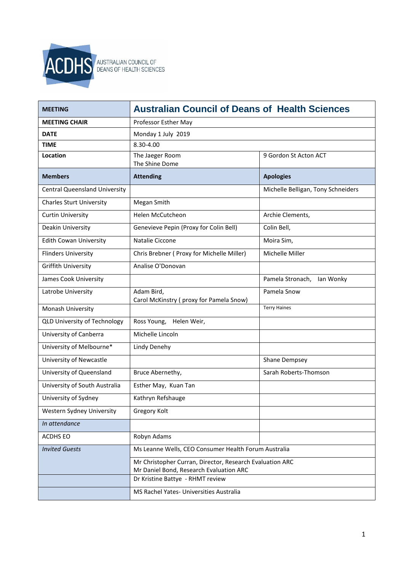

| <b>MEETING</b>                       | <b>Australian Council of Deans of Health Sciences</b>                                               |                                    |  |
|--------------------------------------|-----------------------------------------------------------------------------------------------------|------------------------------------|--|
| <b>MEETING CHAIR</b>                 | Professor Esther May                                                                                |                                    |  |
| <b>DATE</b>                          | Monday 1 July 2019                                                                                  |                                    |  |
| <b>TIME</b>                          | 8.30-4.00                                                                                           |                                    |  |
| Location                             | The Jaeger Room<br>The Shine Dome                                                                   | 9 Gordon St Acton ACT              |  |
| <b>Members</b>                       | <b>Attending</b>                                                                                    | <b>Apologies</b>                   |  |
| <b>Central Queensland University</b> |                                                                                                     | Michelle Belligan, Tony Schneiders |  |
| <b>Charles Sturt University</b>      | Megan Smith                                                                                         |                                    |  |
| <b>Curtin University</b>             | <b>Helen McCutcheon</b>                                                                             | Archie Clements,                   |  |
| Deakin University                    | Genevieve Pepin (Proxy for Colin Bell)                                                              | Colin Bell,                        |  |
| <b>Edith Cowan University</b>        | Natalie Ciccone                                                                                     | Moira Sim,                         |  |
| <b>Flinders University</b>           | Chris Brebner ( Proxy for Michelle Miller)                                                          | Michelle Miller                    |  |
| <b>Griffith University</b>           | Analise O'Donovan                                                                                   |                                    |  |
| James Cook University                |                                                                                                     | Pamela Stronach, Ian Wonky         |  |
| Latrobe University                   | Adam Bird,<br>Carol McKinstry (proxy for Pamela Snow)                                               | Pamela Snow                        |  |
| Monash University                    |                                                                                                     | <b>Terry Haines</b>                |  |
| <b>QLD University of Technology</b>  | Ross Young, Helen Weir,                                                                             |                                    |  |
| University of Canberra               | Michelle Lincoln                                                                                    |                                    |  |
| University of Melbourne*             | Lindy Denehy                                                                                        |                                    |  |
| University of Newcastle              |                                                                                                     | Shane Dempsey                      |  |
| University of Queensland             | Bruce Abernethy,                                                                                    | Sarah Roberts-Thomson              |  |
| University of South Australia        | Esther May, Kuan Tan                                                                                |                                    |  |
| University of Sydney                 | Kathryn Refshauge                                                                                   |                                    |  |
| Western Sydney University            | Gregory Kolt                                                                                        |                                    |  |
| In attendance                        |                                                                                                     |                                    |  |
| ACDHS EO                             | Robyn Adams                                                                                         |                                    |  |
| <b>Invited Guests</b>                | Ms Leanne Wells, CEO Consumer Health Forum Australia                                                |                                    |  |
|                                      | Mr Christopher Curran, Director, Research Evaluation ARC<br>Mr Daniel Bond, Research Evaluation ARC |                                    |  |
|                                      | Dr Kristine Battye - RHMT review                                                                    |                                    |  |
|                                      | MS Rachel Yates- Universities Australia                                                             |                                    |  |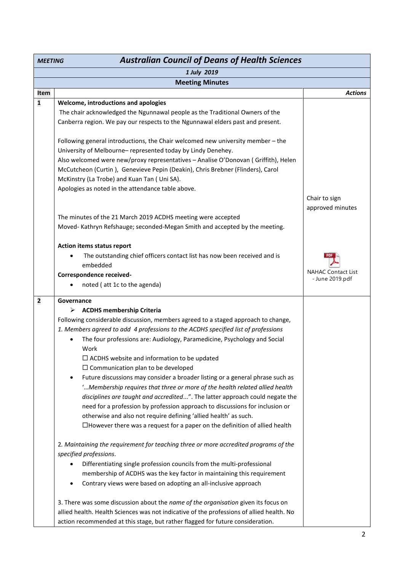| <b>Australian Council of Deans of Health Sciences</b><br><b>MEETING</b> |                                                                                            |                                   |  |
|-------------------------------------------------------------------------|--------------------------------------------------------------------------------------------|-----------------------------------|--|
| 1 July 2019                                                             |                                                                                            |                                   |  |
|                                                                         | <b>Meeting Minutes</b>                                                                     |                                   |  |
| Item                                                                    |                                                                                            | <b>Actions</b>                    |  |
| $\mathbf 1$                                                             | Welcome, introductions and apologies                                                       |                                   |  |
|                                                                         | The chair acknowledged the Ngunnawal people as the Traditional Owners of the               |                                   |  |
|                                                                         | Canberra region. We pay our respects to the Ngunnawal elders past and present.             |                                   |  |
|                                                                         | Following general introductions, the Chair welcomed new university member - the            |                                   |  |
|                                                                         | University of Melbourne- represented today by Lindy Denehey.                               |                                   |  |
|                                                                         | Also welcomed were new/proxy representatives - Analise O'Donovan (Griffith), Helen         |                                   |  |
|                                                                         | McCutcheon (Curtin), Genevieve Pepin (Deakin), Chris Brebner (Flinders), Carol             |                                   |  |
|                                                                         | McKinstry (La Trobe) and Kuan Tan (Uni SA).                                                |                                   |  |
|                                                                         | Apologies as noted in the attendance table above.                                          |                                   |  |
|                                                                         |                                                                                            | Chair to sign<br>approved minutes |  |
|                                                                         | The minutes of the 21 March 2019 ACDHS meeting were accepted                               |                                   |  |
|                                                                         | Moved-Kathryn Refshauge; seconded-Megan Smith and accepted by the meeting.                 |                                   |  |
|                                                                         | Action items status report                                                                 |                                   |  |
|                                                                         | The outstanding chief officers contact list has now been received and is<br>embedded       |                                   |  |
|                                                                         | Correspondence received-                                                                   | <b>NAHAC Contact List</b>         |  |
|                                                                         | noted (att 1c to the agenda)                                                               | - June 2019.pdf                   |  |
|                                                                         |                                                                                            |                                   |  |
| $\overline{\mathbf{2}}$                                                 | Governance                                                                                 |                                   |  |
|                                                                         | <b>ACDHS membership Criteria</b><br>➤                                                      |                                   |  |
|                                                                         | Following considerable discussion, members agreed to a staged approach to change,          |                                   |  |
|                                                                         | 1. Members agreed to add 4 professions to the ACDHS specified list of professions          |                                   |  |
|                                                                         | The four professions are: Audiology, Paramedicine, Psychology and Social<br>$\bullet$      |                                   |  |
|                                                                         | Work<br>$\Box$ ACDHS website and information to be updated                                 |                                   |  |
|                                                                         | $\Box$ Communication plan to be developed                                                  |                                   |  |
|                                                                         | Future discussions may consider a broader listing or a general phrase such as<br>$\bullet$ |                                   |  |
|                                                                         | 'Membership requires that three or more of the health related allied health                |                                   |  |
|                                                                         | disciplines are taught and accredited". The latter approach could negate the               |                                   |  |
|                                                                         | need for a profession by profession approach to discussions for inclusion or               |                                   |  |
|                                                                         | otherwise and also not require defining 'allied health' as such.                           |                                   |  |
|                                                                         | $\Box$ However there was a request for a paper on the definition of allied health          |                                   |  |
|                                                                         |                                                                                            |                                   |  |
|                                                                         | 2. Maintaining the requirement for teaching three or more accredited programs of the       |                                   |  |
|                                                                         | specified professions.                                                                     |                                   |  |
|                                                                         | Differentiating single profession councils from the multi-professional                     |                                   |  |
|                                                                         | membership of ACDHS was the key factor in maintaining this requirement                     |                                   |  |
|                                                                         | Contrary views were based on adopting an all-inclusive approach<br>$\bullet$               |                                   |  |
|                                                                         |                                                                                            |                                   |  |
|                                                                         | 3. There was some discussion about the name of the organisation given its focus on         |                                   |  |
|                                                                         | allied health. Health Sciences was not indicative of the professions of allied health. No  |                                   |  |
|                                                                         | action recommended at this stage, but rather flagged for future consideration.             |                                   |  |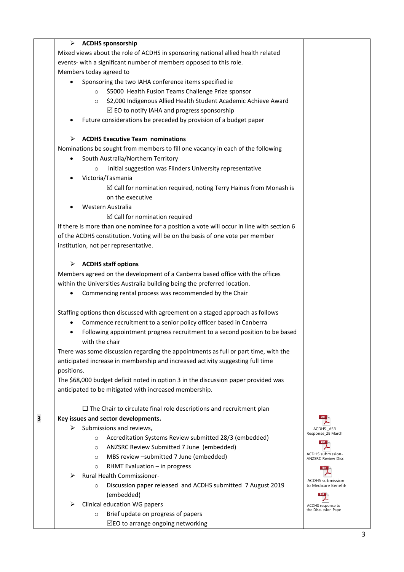| ➤          | <b>ACDHS sponsorship</b>                                                                  |                                                |
|------------|-------------------------------------------------------------------------------------------|------------------------------------------------|
|            | Mixed views about the role of ACDHS in sponsoring national allied health related          |                                                |
|            | events- with a significant number of members opposed to this role.                        |                                                |
|            | Members today agreed to                                                                   |                                                |
|            | Sponsoring the two IAHA conference items specified ie                                     |                                                |
|            | \$5000 Health Fusion Teams Challenge Prize sponsor<br>$\circ$                             |                                                |
|            | \$2,000 Indigenous Allied Health Student Academic Achieve Award<br>$\circ$                |                                                |
|            | $\boxtimes$ EO to notify IAHA and progress sponsorship                                    |                                                |
|            | Future considerations be preceded by provision of a budget paper                          |                                                |
|            | <b>ACDHS Executive Team nominations</b>                                                   |                                                |
|            | Nominations be sought from members to fill one vacancy in each of the following           |                                                |
|            | South Australia/Northern Territory                                                        |                                                |
|            | initial suggestion was Flinders University representative<br>$\circ$                      |                                                |
|            | Victoria/Tasmania                                                                         |                                                |
|            | $\boxtimes$ Call for nomination required, noting Terry Haines from Monash is              |                                                |
|            | on the executive                                                                          |                                                |
|            | Western Australia                                                                         |                                                |
|            | $\boxtimes$ Call for nomination required                                                  |                                                |
|            | If there is more than one nominee for a position a vote will occur in line with section 6 |                                                |
|            | of the ACDHS constitution. Voting will be on the basis of one vote per member             |                                                |
|            | institution, not per representative.                                                      |                                                |
| ➤          | <b>ACDHS staff options</b>                                                                |                                                |
|            | Members agreed on the development of a Canberra based office with the offices             |                                                |
|            | within the Universities Australia building being the preferred location.                  |                                                |
|            | Commencing rental process was recommended by the Chair                                    |                                                |
|            | Staffing options then discussed with agreement on a staged approach as follows            |                                                |
|            | Commence recruitment to a senior policy officer based in Canberra                         |                                                |
|            | Following appointment progress recruitment to a second position to be based               |                                                |
|            | with the chair                                                                            |                                                |
|            | There was some discussion regarding the appointments as full or part time, with the       |                                                |
|            | anticipated increase in membership and increased activity suggesting full time            |                                                |
| positions. |                                                                                           |                                                |
|            | The \$68,000 budget deficit noted in option 3 in the discussion paper provided was        |                                                |
|            | anticipated to be mitigated with increased membership.                                    |                                                |
|            | $\Box$ The Chair to circulate final role descriptions and recruitment plan                |                                                |
|            | Key issues and sector developments.                                                       | POF                                            |
| ➤          | Submissions and reviews,                                                                  | ACDHS_ASR                                      |
|            | Accreditation Systems Review submitted 28/3 (embedded)<br>$\circ$                         | Response_28 March                              |
|            | ANZSRC Review Submitted 7 June (embedded)<br>$\circ$                                      | PDF                                            |
|            | MBS review -submitted 7 June (embedded)<br>$\circ$                                        | ACDHS submission-<br><b>ANZSRC Review Disc</b> |
|            | RHMT Evaluation - in progress<br>$\circ$                                                  |                                                |
|            | <b>Rural Health Commissioner-</b>                                                         | ACDHS submission                               |
|            | Discussion paper released and ACDHS submitted 7 August 2019<br>$\circ$                    | to Medicare Benefit:                           |
|            | (embedded)                                                                                | PDE                                            |
|            | Clinical education WG papers                                                              | ACDHS response to<br>the Discussion Pape       |
|            | Brief update on progress of papers<br>$\circ$                                             |                                                |
|            | $\boxdot$ EO to arrange ongoing networking                                                |                                                |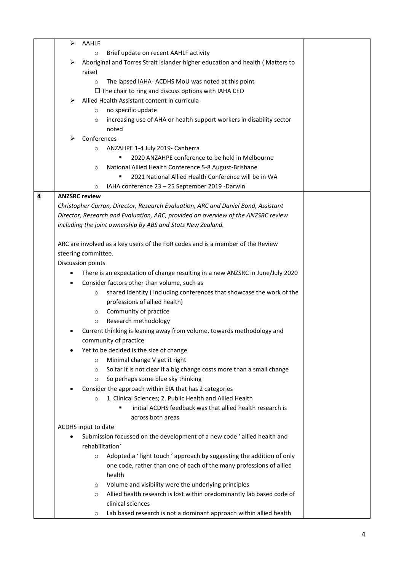|   | ➤<br>AAHLF                                                                         |  |
|---|------------------------------------------------------------------------------------|--|
|   | Brief update on recent AAHLF activity<br>$\circ$                                   |  |
|   | Aboriginal and Torres Strait Islander higher education and health (Matters to<br>➤ |  |
|   | raise)                                                                             |  |
|   | The lapsed IAHA- ACDHS MoU was noted at this point<br>$\circ$                      |  |
|   | $\Box$ The chair to ring and discuss options with IAHA CEO                         |  |
|   | Allied Health Assistant content in curricula-<br>⋗                                 |  |
|   | no specific update<br>$\circ$                                                      |  |
|   | increasing use of AHA or health support workers in disability sector<br>$\circ$    |  |
|   | noted                                                                              |  |
|   | Conferences<br>⋗                                                                   |  |
|   | ANZAHPE 1-4 July 2019- Canberra<br>$\circ$                                         |  |
|   | 2020 ANZAHPE conference to be held in Melbourne                                    |  |
|   | National Allied Health Conference 5-8 August-Brisbane<br>$\circ$                   |  |
|   | 2021 National Allied Health Conference will be in WA                               |  |
|   | IAHA conference 23 - 25 September 2019 -Darwin<br>O                                |  |
| 4 | <b>ANZSRC review</b>                                                               |  |
|   | Christopher Curran, Director, Research Evaluation, ARC and Daniel Bond, Assistant  |  |
|   | Director, Research and Evaluation, ARC, provided an overview of the ANZSRC review  |  |
|   | including the joint ownership by ABS and Stats New Zealand.                        |  |
|   |                                                                                    |  |
|   | ARC are involved as a key users of the FoR codes and is a member of the Review     |  |
|   | steering committee.                                                                |  |
|   | Discussion points                                                                  |  |
|   | There is an expectation of change resulting in a new ANZSRC in June/July 2020<br>٠ |  |
|   | Consider factors other than volume, such as<br>٠                                   |  |
|   | shared identity (including conferences that showcase the work of the<br>$\circ$    |  |
|   | professions of allied health)                                                      |  |
|   | Community of practice<br>$\circ$                                                   |  |
|   | Research methodology<br>$\circ$                                                    |  |
|   | Current thinking is leaning away from volume, towards methodology and              |  |
|   | community of practice                                                              |  |
|   | Yet to be decided is the size of change                                            |  |
|   | Minimal change V get it right<br>$\circ$                                           |  |
|   | So far it is not clear if a big change costs more than a small change<br>$\circ$   |  |
|   | So perhaps some blue sky thinking<br>$\circ$                                       |  |
|   | Consider the approach within EIA that has 2 categories                             |  |
|   | 1. Clinical Sciences; 2. Public Health and Allied Health<br>$\circ$                |  |
|   | initial ACDHS feedback was that allied health research is                          |  |
|   | across both areas                                                                  |  |
|   | ACDHS input to date                                                                |  |
|   | Submission focussed on the development of a new code 'allied health and<br>٠       |  |
|   | rehabilitation'                                                                    |  |
|   | Adopted a ' light touch ' approach by suggesting the addition of only<br>$\circ$   |  |
|   | one code, rather than one of each of the many professions of allied                |  |
|   | health                                                                             |  |
|   | Volume and visibility were the underlying principles<br>$\circ$                    |  |
|   | Allied health research is lost within predominantly lab based code of<br>O         |  |
|   | clinical sciences                                                                  |  |
|   | Lab based research is not a dominant approach within allied health<br>$\circ$      |  |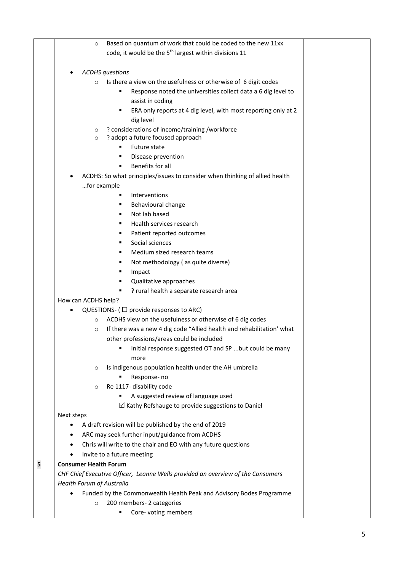|   | Based on quantum of work that could be coded to the new 11xx<br>$\circ$          |  |
|---|----------------------------------------------------------------------------------|--|
|   | code, it would be the 5 <sup>th</sup> largest within divisions 11                |  |
|   |                                                                                  |  |
|   | <b>ACDHS</b> questions                                                           |  |
|   | Is there a view on the usefulness or otherwise of 6 digit codes<br>$\Omega$      |  |
|   | Response noted the universities collect data a 6 dig level to                    |  |
|   | assist in coding                                                                 |  |
|   | ERA only reports at 4 dig level, with most reporting only at 2                   |  |
|   | dig level                                                                        |  |
|   | ? considerations of income/training /workforce<br>$\circ$                        |  |
|   | ? adopt a future focused approach<br>$\circ$                                     |  |
|   | Future state                                                                     |  |
|   | Disease prevention<br>٠                                                          |  |
|   | Benefits for all<br>٠                                                            |  |
|   | ACDHS: So what principles/issues to consider when thinking of allied health      |  |
|   | for example                                                                      |  |
|   | Interventions                                                                    |  |
|   | Behavioural change                                                               |  |
|   | Not lab based                                                                    |  |
|   | Health services research                                                         |  |
|   | Patient reported outcomes                                                        |  |
|   | Social sciences                                                                  |  |
|   | Medium sized research teams                                                      |  |
|   | Not methodology (as quite diverse)                                               |  |
|   | Impact                                                                           |  |
|   | Qualitative approaches                                                           |  |
|   | ? rural health a separate research area<br>٠                                     |  |
|   | How can ACDHS help?                                                              |  |
|   | QUESTIONS- ( $\Box$ provide responses to ARC)                                    |  |
|   | ACDHS view on the usefulness or otherwise of 6 dig codes<br>$\circ$              |  |
|   | If there was a new 4 dig code "Allied health and rehabilitation' what<br>$\circ$ |  |
|   | other professions/areas could be included                                        |  |
|   | Initial response suggested OT and SP  but could be many<br>٠                     |  |
|   | more                                                                             |  |
|   | Is indigenous population health under the AH umbrella<br>$\circ$                 |  |
|   | Response- no                                                                     |  |
|   | Re 1117- disability code<br>$\circ$                                              |  |
|   | A suggested review of language used                                              |  |
|   | $\boxtimes$ Kathy Refshauge to provide suggestions to Daniel                     |  |
|   | Next steps                                                                       |  |
|   | A draft revision will be published by the end of 2019                            |  |
|   | ARC may seek further input/guidance from ACDHS<br>$\bullet$                      |  |
|   | Chris will write to the chair and EO with any future questions<br>$\bullet$      |  |
|   | Invite to a future meeting                                                       |  |
| 5 | <b>Consumer Health Forum</b>                                                     |  |
|   | CHF Chief Executive Officer, Leanne Wells provided an overview of the Consumers  |  |
|   | Health Forum of Australia                                                        |  |
|   | Funded by the Commonwealth Health Peak and Advisory Bodes Programme              |  |
|   | 200 members- 2 categories<br>$\circ$                                             |  |
|   | Core-voting members                                                              |  |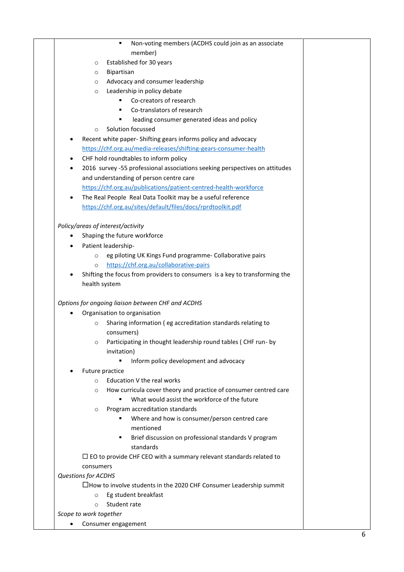|           | Non-voting members (ACDHS could join as an associate<br>٠                   |  |
|-----------|-----------------------------------------------------------------------------|--|
|           | member)                                                                     |  |
|           | Established for 30 years<br>$\circ$                                         |  |
|           | Bipartisan<br>$\circ$                                                       |  |
|           | Advocacy and consumer leadership<br>$\circ$                                 |  |
|           | Leadership in policy debate<br>$\circ$                                      |  |
|           | Co-creators of research                                                     |  |
|           | Co-translators of research<br>٠                                             |  |
|           | leading consumer generated ideas and policy<br>٠                            |  |
|           | Solution focussed<br>$\circ$                                                |  |
|           | Recent white paper- Shifting gears informs policy and advocacy              |  |
|           | https://chf.org.au/media-releases/shifting-gears-consumer-health            |  |
| ٠         | CHF hold roundtables to inform policy                                       |  |
| ٠         | 2016 survey -55 professional associations seeking perspectives on attitudes |  |
|           | and understanding of person centre care                                     |  |
|           | https://chf.org.au/publications/patient-centred-health-workforce            |  |
| $\bullet$ | The Real People Real Data Toolkit may be a useful reference                 |  |
|           | https://chf.org.au/sites/default/files/docs/rprdtoolkit.pdf                 |  |
|           |                                                                             |  |
|           |                                                                             |  |
|           | Policy/areas of interest/activity                                           |  |
|           | Shaping the future workforce                                                |  |
|           | Patient leadership-                                                         |  |
|           | eg piloting UK Kings Fund programme- Collaborative pairs<br>$\circ$         |  |
|           | https://chf.org.au/collaborative-pairs<br>$\circ$                           |  |
|           | Shifting the focus from providers to consumers is a key to transforming the |  |
|           | health system                                                               |  |
|           |                                                                             |  |
|           | Options for ongoing liaison between CHF and ACDHS                           |  |
|           | Organisation to organisation                                                |  |
|           | Sharing information (eg accreditation standards relating to<br>$\circ$      |  |
|           | consumers)                                                                  |  |
|           | Participating in thought leadership round tables (CHF run-by                |  |
|           | invitation)                                                                 |  |
|           | Inform policy development and advocacy                                      |  |
|           | Future practice                                                             |  |
|           | Education V the real works<br>$\circ$                                       |  |
|           | How curricula cover theory and practice of consumer centred care<br>$\circ$ |  |
|           | What would assist the workforce of the future                               |  |
|           | Program accreditation standards<br>$\circ$                                  |  |
|           | Where and how is consumer/person centred care                               |  |
|           | mentioned                                                                   |  |
|           | Brief discussion on professional standards V program<br>٠                   |  |
|           | standards                                                                   |  |
|           | $\Box$ EO to provide CHF CEO with a summary relevant standards related to   |  |
|           | consumers                                                                   |  |
|           | <b>Questions for ACDHS</b>                                                  |  |
|           | $\Box$ How to involve students in the 2020 CHF Consumer Leadership summit   |  |
|           |                                                                             |  |
|           | Eg student breakfast<br>$\circ$                                             |  |
|           | Student rate<br>$\Omega$                                                    |  |
|           | Scope to work together                                                      |  |
| ٠         | Consumer engagement                                                         |  |